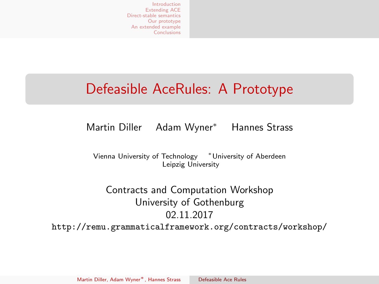### <span id="page-0-0"></span>Defeasible AceRules: A Prototype

### Martin Diller Adam Wyner<sup>∗</sup> Hannes Strass

Vienna University of Technology <sup>∗</sup>University of Aberdeen Leipzig University

Contracts and Computation Workshop University of Gothenburg 02.11.2017 <http://remu.grammaticalframework.org/contracts/workshop/>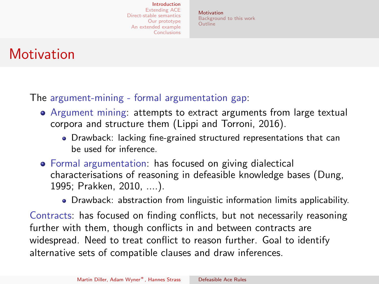[Motivation](#page-1-0) [Background to this work](#page-8-0) [Outline](#page-9-0)

### <span id="page-1-0"></span>**Motivation**

The argument-mining - formal argumentation gap:

- Argument mining: attempts to extract arguments from large textual corpora and structure them (Lippi and Torroni, 2016).
	- Drawback: lacking fine-grained structured representations that can be used for inference.
- Formal argumentation: has focused on giving dialectical characterisations of reasoning in defeasible knowledge bases (Dung, 1995; Prakken, 2010, ....).
	- Drawback: abstraction from linguistic information limits applicability.

Contracts: has focused on finding conflicts, but not necessarily reasoning further with them, though conflicts in and between contracts are widespread. Need to treat conflict to reason further. Goal to identify alternative sets of compatible clauses and draw inferences.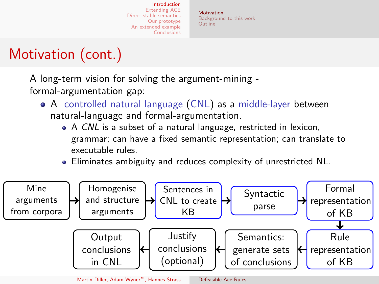[Motivation](#page-1-0) [Background to this work](#page-8-0) [Outline](#page-9-0)

# Motivation (cont.)

A long-term vision for solving the argument-mining formal-argumentation gap:

- A controlled natural language (CNL) as a middle-layer between natural-language and formal-argumentation.
	- A CNL is a subset of a natural language, restricted in lexicon, grammar; can have a fixed semantic representation; can translate to executable rules.
	- Eliminates ambiguity and reduces complexity of unrestricted NL.



Martin Diller, Adam Wyner∗, Hannes Strass [Defeasible Ace Rules](#page-0-0)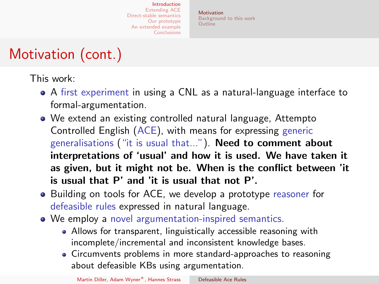[Motivation](#page-1-0) [Background to this work](#page-8-0) [Outline](#page-9-0)

# Motivation (cont.)

This work:

- A first experiment in using a CNL as a natural-language interface to formal-argumentation.
- We extend an existing controlled natural language, Attempto Controlled English (ACE), with means for expressing generic generalisations ("it is usual that..."). Need to comment about interpretations of 'usual' and how it is used. We have taken it as given, but it might not be. When is the conflict between 'it is usual that P' and 'it is usual that not P'.
- Building on tools for ACE, we develop a prototype reasoner for defeasible rules expressed in natural language.
- We employ a novel argumentation-inspired semantics.
	- Allows for transparent, linguistically accessible reasoning with incomplete/incremental and inconsistent knowledge bases.
	- Circumvents problems in more standard-approaches to reasoning about defeasible KBs using argumentation.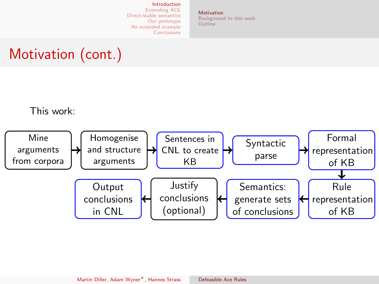[Motivation](#page-1-0) [Background to this work](#page-8-0) [Outline](#page-9-0)

# Motivation (cont.)

This work:

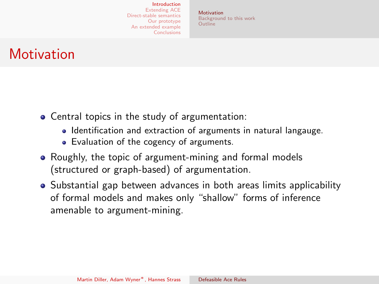[Motivation](#page-1-0) [Background to this work](#page-8-0) [Outline](#page-9-0)

### **Motivation**

- Central topics in the study of argumentation:
	- Identification and extraction of arguments in natural langauge.
	- Evaluation of the cogency of arguments.
- Roughly, the topic of argument-mining and formal models (structured or graph-based) of argumentation.
- Substantial gap between advances in both areas limits applicability of formal models and makes only "shallow" forms of inference amenable to argument-mining.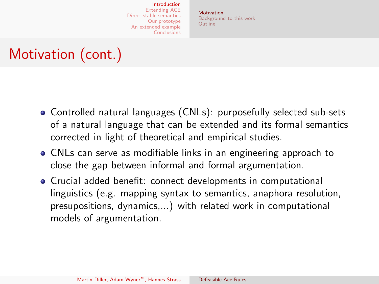[Motivation](#page-1-0) [Background to this work](#page-8-0) [Outline](#page-9-0)

# Motivation (cont.)

- Controlled natural languages (CNLs): purposefully selected sub-sets of a natural language that can be extended and its formal semantics corrected in light of theoretical and empirical studies.
- CNLs can serve as modifiable links in an engineering approach to close the gap between informal and formal argumentation.
- Crucial added benefit: connect developments in computational linguistics (e.g. mapping syntax to semantics, anaphora resolution, presupositions, dynamics,...) with related work in computational models of argumentation.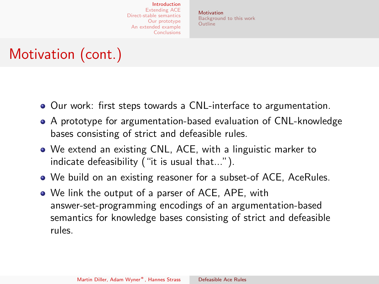[Motivation](#page-1-0) [Background to this work](#page-8-0) [Outline](#page-9-0)

# Motivation (cont.)

- Our work: first steps towards a CNL-interface to argumentation.
- A prototype for argumentation-based evaluation of CNL-knowledge bases consisting of strict and defeasible rules.
- We extend an existing CNL, ACE, with a linguistic marker to indicate defeasibility ("it is usual that...").
- We build on an existing reasoner for a subset-of ACE, AceRules.
- We link the output of a parser of ACE, APE, with answer-set-programming encodings of an argumentation-based semantics for knowledge bases consisting of strict and defeasible rules.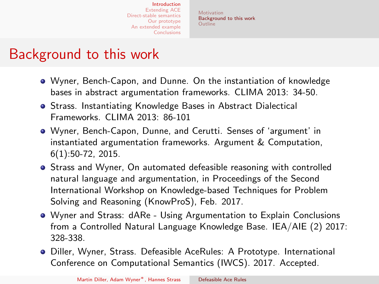[Motivation](#page-1-0) [Background to this work](#page-8-0) [Outline](#page-9-0)

### <span id="page-8-0"></span>Background to this work

- Wyner, Bench-Capon, and Dunne. On the instantiation of knowledge bases in abstract argumentation frameworks. CLIMA 2013: 34-50.
- **Strass. Instantiating Knowledge Bases in Abstract Dialectical** Frameworks. CLIMA 2013: 86-101
- Wyner, Bench-Capon, Dunne, and Cerutti. Senses of 'argument' in instantiated argumentation frameworks. Argument & Computation, 6(1):50-72, 2015.
- **•** Strass and Wyner, On automated defeasible reasoning with controlled natural language and argumentation, in Proceedings of the Second International Workshop on Knowledge-based Techniques for Problem Solving and Reasoning (KnowProS), Feb. 2017.
- Wyner and Strass: dARe Using Argumentation to Explain Conclusions from a Controlled Natural Language Knowledge Base. IEA/AIE (2) 2017: 328-338.
- Diller, Wyner, Strass. Defeasible AceRules: A Prototype. International Conference on Computational Semantics (IWCS). 2017. Accepted.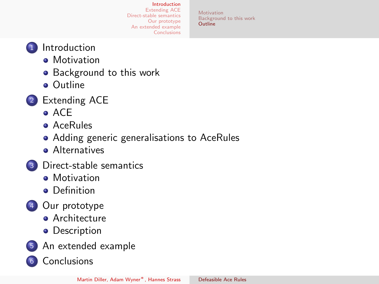[Motivation](#page-1-0) [Background to this work](#page-8-0) [Outline](#page-9-0)

- <span id="page-9-0"></span><sup>1</sup> [Introduction](#page-1-0)
	- **•** [Motivation](#page-1-0)
	- **•** [Background to this work](#page-8-0)
	- [Outline](#page-9-0)
- <sup>2</sup> [Extending ACE](#page-10-0)
	- $\bullet$  ACF
	- [AceRules](#page-12-0)
	- [Adding generic generalisations to AceRules](#page-13-0)
	- **[Alternatives](#page-18-0)**
- <sup>3</sup> [Direct-stable semantics](#page-19-0)
	- **•** [Motivation](#page-19-0)
	- **•** [Definition](#page-20-0)
- <sup>4</sup> [Our prototype](#page-27-0)
	- **[Architecture](#page-27-0)**
	- [Description](#page-28-0)
- <sup>5</sup> [An extended example](#page-29-0)
- <sup>6</sup> [Conclusions](#page-44-0)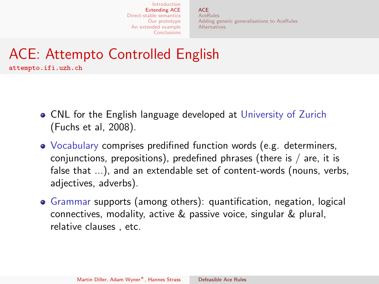**[ACE](#page-10-0) AceRules** [Adding generic generalisations to AceRules](#page-13-0) [Alternatives](#page-18-0)

# <span id="page-10-0"></span>ACE: Attempto Controlled English

<attempto.ifi.uzh.ch>

- CNL for the English language developed at University of Zurich (Fuchs et al, 2008).
- Vocabulary comprises predifined function words (e.g. determiners, conjunctions, prepositions), predefined phrases (there is / are, it is false that ...), and an extendable set of content-words (nouns, verbs, adjectives, adverbs).
- Grammar supports (among others): quantification, negation, logical connectives, modality, active & passive voice, singular & plural, relative clauses , etc.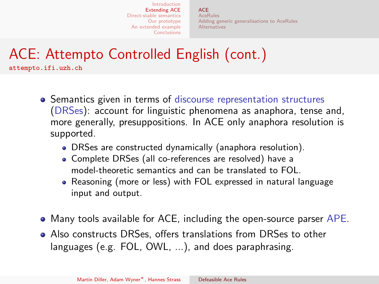**[ACE](#page-10-0) AceRules** [Adding generic generalisations to AceRules](#page-13-0) [Alternatives](#page-18-0)

# ACE: Attempto Controlled English (cont.)

<attempto.ifi.uzh.ch>

- **•** Semantics given in terms of discourse representation structures (DRSes): account for linguistic phenomena as anaphora, tense and, more generally, presuppositions. In ACE only anaphora resolution is supported.
	- DRSes are constructed dynamically (anaphora resolution).
	- Complete DRSes (all co-references are resolved) have a model-theoretic semantics and can be translated to FOL.
	- Reasoning (more or less) with FOL expressed in natural language input and output.
- Many tools available for ACE, including the open-source parser APE.
- Also constructs DRSes, offers translations from DRSes to other languages (e.g. FOL, OWL, ...), and does paraphrasing.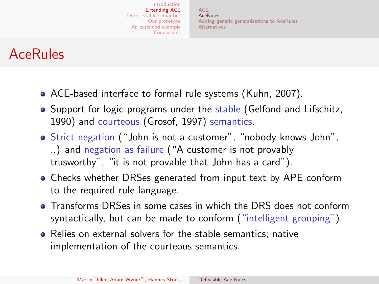**[ACE](#page-10-0) AceRules** [Adding generic generalisations to AceRules](#page-13-0) [Alternatives](#page-18-0)

### <span id="page-12-0"></span>AceRules

- ACE-based interface to formal rule systems (Kuhn, 2007).
- Support for logic programs under the stable (Gelfond and Lifschitz, 1990) and courteous (Grosof, 1997) semantics.
- Strict negation ("John is not a customer", "nobody knows John", ..) and negation as failure ("A customer is not provably trusworthy", "it is not provable that John has a card").
- Checks whether DRSes generated from input text by APE conform to the required rule language.
- Transforms DRSes in some cases in which the DRS does not conform syntactically, but can be made to conform ("intelligent grouping").
- Relies on external solvers for the stable semantics; native implementation of the courteous semantics.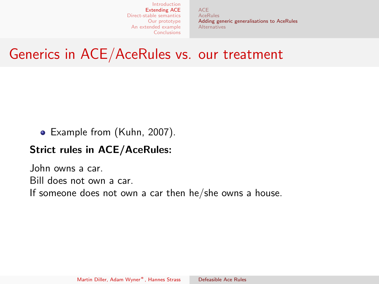[ACE](#page-10-0) AceRules [Adding generic generalisations to AceRules](#page-15-0) [Alternatives](#page-18-0)

### <span id="page-13-0"></span>Generics in ACE/AceRules vs. our treatment

Example from (Kuhn, 2007).

#### Strict rules in ACE/AceRules:

John owns a car. Bill does not own a car. If someone does not own a car then he/she owns a house.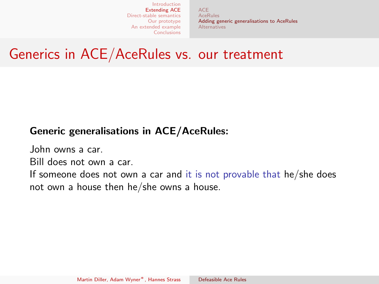[ACE](#page-10-0) AceRules [Adding generic generalisations to AceRules](#page-15-0) **[Alternatives](#page-18-0)** 

### Generics in ACE/AceRules vs. our treatment

#### Generic generalisations in ACE/AceRules:

John owns a car.

Bill does not own a car.

If someone does not own a car and it is not provable that he/she does not own a house then he/she owns a house.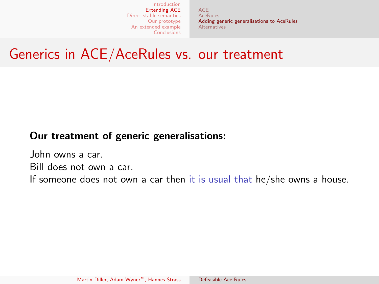[ACE](#page-10-0) AceRules [Adding generic generalisations to AceRules](#page-13-0) [Alternatives](#page-18-0)

### <span id="page-15-0"></span>Generics in ACE/AceRules vs. our treatment

#### Our treatment of generic generalisations:

John owns a car. Bill does not own a car. If someone does not own a car then it is usual that he/she owns a house.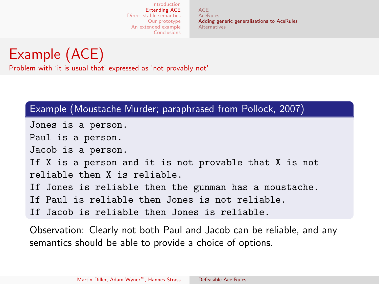**[ACE](#page-10-0)** AceRules [Adding generic generalisations to AceRules](#page-13-0) [Alternatives](#page-18-0)

Example (ACE) Problem with 'it is usual that' expressed as 'not provably not'

#### Example (Moustache Murder; paraphrased from Pollock, 2007)

Jones is a person. Paul is a person. Jacob is a person. If X is a person and it is not provable that X is not reliable then X is reliable. If Jones is reliable then the gunman has a moustache. If Paul is reliable then Jones is not reliable. If Jacob is reliable then Jones is reliable.

Observation: Clearly not both Paul and Jacob can be reliable, and any semantics should be able to provide a choice of options.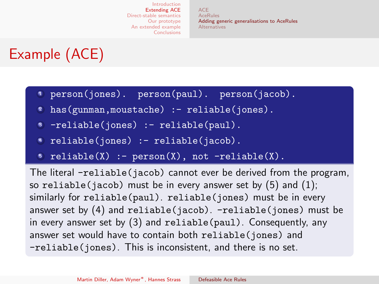**[ACE](#page-10-0)** AceRules [Adding generic generalisations to AceRules](#page-13-0) [Alternatives](#page-18-0)

# Example (ACE)

- <sup>1</sup> person(jones). person(paul). person(jacob).
- has(gunman,moustache) :- reliable(jones).
- -reliable(jones) :- reliable(paul).
- reliable(jones) :- reliable(jacob).
- $reliable(X) := person(X), not -reliable(X).$

The literal -reliable(jacob) cannot ever be derived from the program, so reliable(jacob) must be in every answer set by  $(5)$  and  $(1)$ ; similarly for reliable(paul). reliable(jones) must be in every answer set by  $(4)$  and reliable(jacob). -reliable(jones) must be in every answer set by (3) and reliable(paul). Consequently, any answer set would have to contain both reliable(jones) and -reliable(jones). This is inconsistent, and there is no set.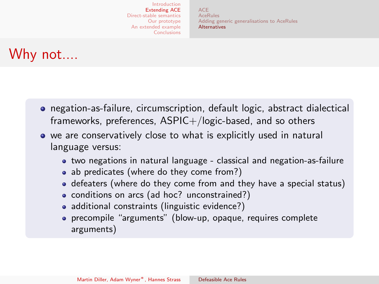**[ACE](#page-10-0) AceRules** [Adding generic generalisations to AceRules](#page-13-0) [Alternatives](#page-18-0)

### <span id="page-18-0"></span>Why not....

- negation-as-failure, circumscription, default logic, abstract dialectical frameworks, preferences,  $ASPIC+/logic-based$ , and so others
- we are conservatively close to what is explicitly used in natural language versus:
	- two negations in natural language classical and negation-as-failure
	- ab predicates (where do they come from?)
	- defeaters (where do they come from and they have a special status)
	- conditions on arcs (ad hoc? unconstrained?)
	- additional constraints (linguistic evidence?)
	- precompile "arguments" (blow-up, opaque, requires complete arguments)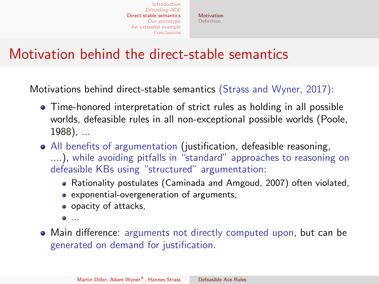[Motivation](#page-19-0) [Definition](#page-20-0)

### <span id="page-19-0"></span>Motivation behind the direct-stable semantics

Motivations behind direct-stable semantics (Strass and Wyner, 2017):

- Time-honored interpretation of strict rules as holding in all possible worlds, defeasible rules in all non-exceptional possible worlds (Poole, 1988), ...
- All benefits of argumentation (justification, defeasible reasoning, ....), while avoiding pitfalls in "standard" approaches to reasoning on defeasible KBs using "structured" argumentation:
	- Rationality postulates (Caminada and Amgoud, 2007) often violated,
	- exponential-overgeneration of arguments,
	- opacity of attacks,
	- ...
- Main difference: arguments not directly computed upon, but can be generated on demand for justification.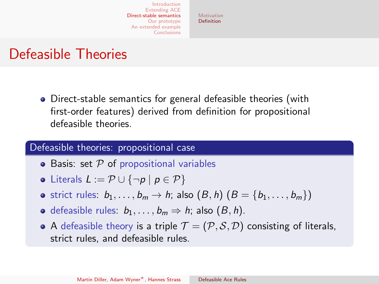[Motivation](#page-19-0) [Definition](#page-20-0)

### <span id="page-20-0"></span>Defeasible Theories

Direct-stable semantics for general defeasible theories (with first-order features) derived from definition for propositional defeasible theories.

#### Defeasible theories: propositional case

- Basis: set  $P$  of propositional variables
- Literals  $L := \mathcal{P} \cup {\neg p | p \in \mathcal{P}}$
- strict rules:  $b_1, \ldots, b_m \rightarrow h$ ; also  $(B, h)$   $(B = \{b_1, \ldots, b_m\})$
- **o** defeasible rules:  $b_1, \ldots, b_m \Rightarrow h$ ; also  $(B, h)$ .
- A defeasible theory is a triple  $\mathcal{T} = (\mathcal{P}, \mathcal{S}, \mathcal{D})$  consisting of literals, strict rules, and defeasible rules.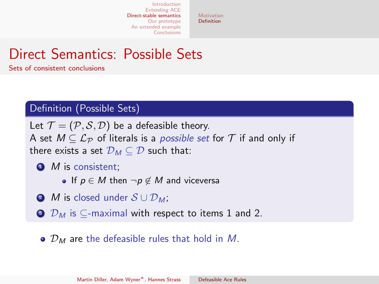[Motivation](#page-19-0) [Definition](#page-20-0)

### Direct Semantics: Possible Sets

#### Sets of consistent conclusions

#### Definition (Possible Sets)

Let  $\mathcal{T} = (\mathcal{P}, \mathcal{S}, \mathcal{D})$  be a defeasible theory. A set  $M \subseteq \mathcal{L}_{\mathcal{P}}$  of literals is a *possible set* for  $\mathcal{T}$  if and only if there exists a set  $\mathcal{D}_M \subseteq \mathcal{D}$  such that:

- <span id="page-21-0"></span> $\bullet$  *M* is consistent:
	- If  $p \in M$  then  $\neg p \notin M$  and viceversa
- <span id="page-21-1"></span> $\bullet$  M is closed under  $S \cup \mathcal{D}_M$ ;
- $\odot$   $\mathcal{D}_M$  is  $\subset$ -maximal with respect to items [1](#page-21-0) and [2.](#page-21-1)
	- $\bullet$   $\mathcal{D}_M$  are the defeasible rules that hold in M.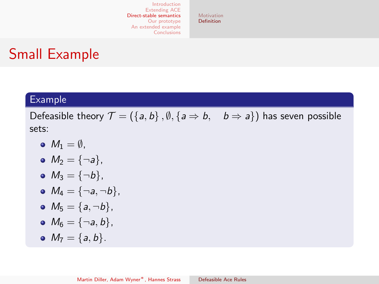[Motivation](#page-19-0) **[Definition](#page-20-0)** 

### Small Example

#### Example

Defeasible theory  $\mathcal{T} = (\{a, b\}, \emptyset, \{a \Rightarrow b, b \Rightarrow a\})$  has seven possible sets:

- $M_1 = \emptyset$ .
- $M_2 = \{\neg a\},\$
- $M_3 = {\neg b}$ ,
- $M_4 = {\neg a, \neg b},$
- $M_5 = \{a, \neg b\},\$

$$
\bullet \ \ M_6=\{\neg a,b\},
$$

•  $M_7 = \{a, b\}.$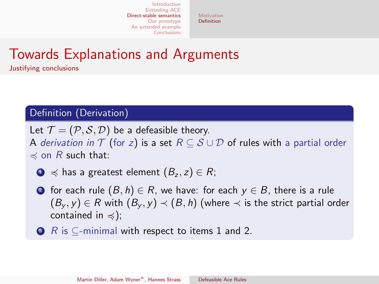[Motivation](#page-19-0) [Definition](#page-20-0)

### Towards Explanations and Arguments

Justifying conclusions

### Definition (Derivation)

Let  $\mathcal{T} = (\mathcal{P}, \mathcal{S}, \mathcal{D})$  be a defeasible theory. A derivation in  $\mathcal T$  (for z) is a set  $R \subseteq \mathcal S \cup \mathcal D$  of rules with a partial order  $\preccurlyeq$  on R such that:

<span id="page-23-0"></span> $\bigcirc$   $\preceq$  has a greatest element  $(B_z, z) \in R$ ;

- <span id="page-23-1"></span>**■** for each rule  $(B, h) \in R$ , we have: for each  $y \in B$ , there is a rule  $(B_v, y) \in R$  with  $(B_v, y) \prec (B, h)$  (where  $\prec$  is the strict partial order contained in  $\preccurlyeq$ );
- $\bullet$  R is  $\subset$ -minimal with respect to items [1](#page-23-0) and [2.](#page-23-1)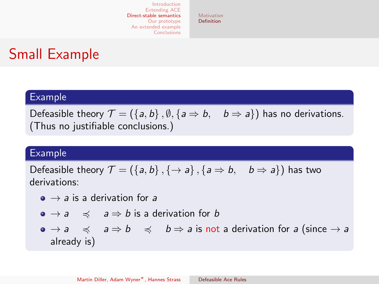[Motivation](#page-19-0) [Definition](#page-20-0)

### Small Example

### Example

Defeasible theory  $\mathcal{T} = (\{a, b\}, \emptyset, \{a \Rightarrow b, b \Rightarrow a\})$  has no derivations. (Thus no justifiable conclusions.)

#### Example

Defeasible theory  $\mathcal{T} = (\{a, b\}, \{\rightarrow a\}, \{a \Rightarrow b, b \Rightarrow a\})$  has two derivations:

- $\bullet \rightarrow a$  is a derivation for a
- $\bullet \rightarrow a \quad \preccurlyeq \quad a \Rightarrow b$  is a derivation for b

 $\bullet \rightarrow a \quad \preccurlyeq \quad a \Rightarrow b \quad \preccurlyeq \quad b \Rightarrow a$  is not a derivation for a (since  $\rightarrow a$ already is)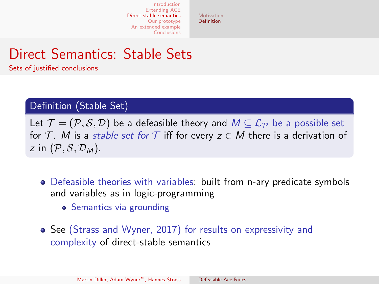[Motivation](#page-19-0) [Definition](#page-20-0)

### Direct Semantics: Stable Sets

Sets of justified conclusions

### Definition (Stable Set)

Let  $\mathcal{T} = (\mathcal{P}, \mathcal{S}, \mathcal{D})$  be a defeasible theory and  $M \subseteq \mathcal{L}_{\mathcal{P}}$  be a possible set for T. M is a stable set for T iff for every  $z \in M$  there is a derivation of z in  $(\mathcal{P}, \mathcal{S}, \mathcal{D}_M)$ .

- Defeasible theories with variables: built from n-ary predicate symbols and variables as in logic-programming
	- Semantics via grounding
- See (Strass and Wyner, 2017) for results on expressivity and complexity of direct-stable semantics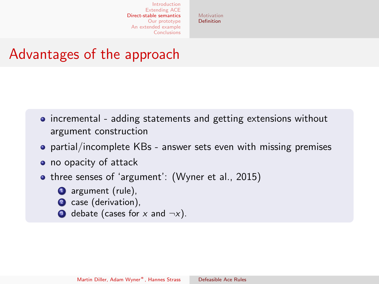[Motivation](#page-19-0) [Definition](#page-20-0)

### Advantages of the approach

- incremental adding statements and getting extensions without argument construction
- partial/incomplete KBs answer sets even with missing premises
- no opacity of attack
- three senses of 'argument': (Wyner et al., 2015)
	- **1** argument (rule),
	- 2 case (derivation),
	- $\bullet$  debate (cases for x and  $\neg x$ ).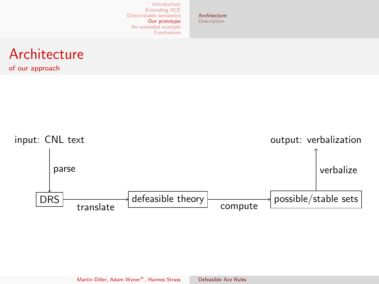[Architecture](#page-27-0) **[Description](#page-28-0)** 

### <span id="page-27-0"></span>Architecture

of our approach

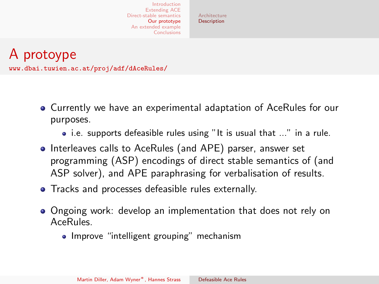[Architecture](#page-27-0) **[Description](#page-28-0)** 

<span id="page-28-0"></span>A protoype <www.dbai.tuwien.ac.at/proj/adf/dAceRules/>

- Currently we have an experimental adaptation of AceRules for our purposes.
	- i.e. supports defeasible rules using "It is usual that ..." in a rule.
- Interleaves calls to AceRules (and APE) parser, answer set programming (ASP) encodings of direct stable semantics of (and ASP solver), and APE paraphrasing for verbalisation of results.
- Tracks and processes defeasible rules externally.
- Ongoing work: develop an implementation that does not rely on AceRules.
	- Improve "intelligent grouping" mechanism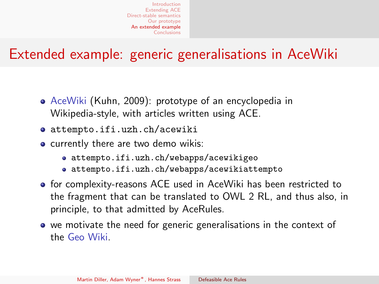### <span id="page-29-0"></span>Extended example: generic generalisations in AceWiki

- AceWiki (Kuhn, 2009): prototype of an encyclopedia in Wikipedia-style, with articles written using ACE.
- <attempto.ifi.uzh.ch/acewiki>
- **•** currently there are two demo wikis:
	- <attempto.ifi.uzh.ch/webapps/acewikigeo>
	- <attempto.ifi.uzh.ch/webapps/acewikiattempto>
- **•** for complexity-reasons ACE used in AceWiki has been restricted to the fragment that can be translated to OWL 2 RL, and thus also, in principle, to that admitted by AceRules.
- we motivate the need for generic generalisations in the context of the Geo Wiki.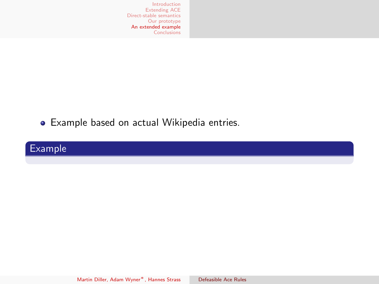Example based on actual Wikipedia entries.

### Example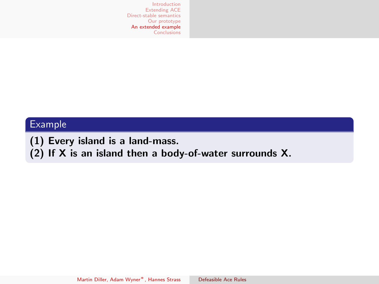### Example

(1) Every island is a land-mass.

(2) If X is an island then a body-of-water surrounds X.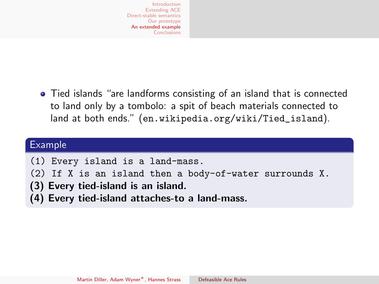Tied islands "are landforms consisting of an island that is connected to land only by a tombolo: a spit of beach materials connected to land at both ends." ([en.wikipedia.org/wiki/Tied\\_island](en.wikipedia.org/wiki/Tied_island)).

#### Example

- (1) Every island is a land-mass.
- (2) If X is an island then a body-of-water surrounds X.
- (3) Every tied-island is an island.
- (4) Every tied-island attaches-to a land-mass.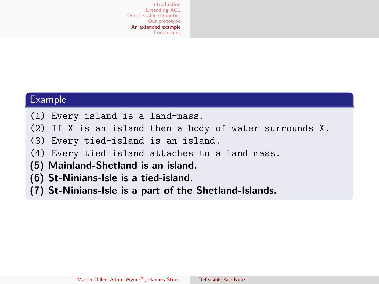#### Example

- (1) Every island is a land-mass.
- (2) If X is an island then a body-of-water surrounds X.
- (3) Every tied-island is an island.
- (4) Every tied-island attaches-to a land-mass.
- (5) Mainland-Shetland is an island.
- (6) St-Ninians-Isle is a tied-island.
- (7) St-Ninians-Isle is a part of the Shetland-Islands.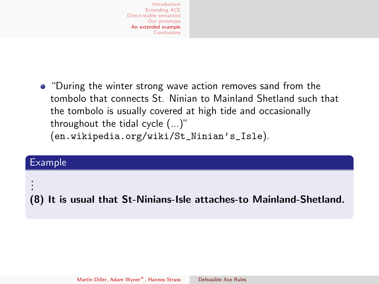• "During the winter strong wave action removes sand from the tombolo that connects St. Ninian to Mainland Shetland such that the tombolo is usually covered at high tide and occasionally throughout the tidal cycle (...)" ([en.wikipedia.org/wiki/St\\_Ninian's\\_Isle](en.wikipedia.org/wiki/St_Ninian)).

### Example

.

. . (8) It is usual that St-Ninians-Isle attaches-to Mainland-Shetland.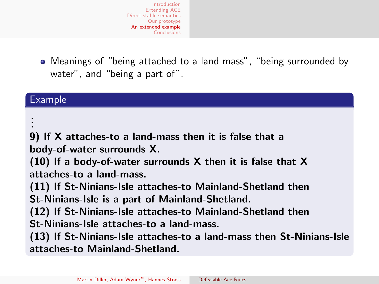Meanings of "being attached to a land mass", "being surrounded by water", and "being a part of".

#### Example

. . .

9) If X attaches-to a land-mass then it is false that a body-of-water surrounds X.

(10) If a body-of-water surrounds X then it is false that X attaches-to a land-mass.

(11) If St-Ninians-Isle attaches-to Mainland-Shetland then St-Ninians-Isle is a part of Mainland-Shetland.

(12) If St-Ninians-Isle attaches-to Mainland-Shetland then St-Ninians-Isle attaches-to a land-mass.

(13) If St-Ninians-Isle attaches-to a land-mass then St-Ninians-Isle attaches-to Mainland-Shetland.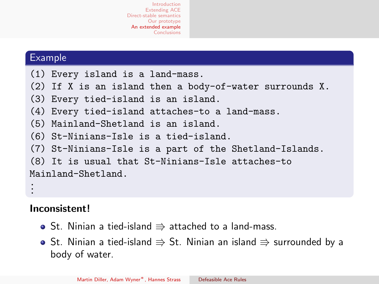#### Example

- (1) Every island is a land-mass.
- (2) If X is an island then a body-of-water surrounds X.
- (3) Every tied-island is an island.
- (4) Every tied-island attaches-to a land-mass.
- (5) Mainland-Shetland is an island.
- (6) St-Ninians-Isle is a tied-island.
- (7) St-Ninians-Isle is a part of the Shetland-Islands.

```
(8) It is usual that St-Ninians-Isle attaches-to
Mainland-Shetland.
.
.
```
### Inconsistent!

.

- St. Ninian a tied-island  $\Rightarrow$  attached to a land-mass.
- St. Ninian a tied-island  $\Rightarrow$  St. Ninian an island  $\Rightarrow$  surrounded by a body of water.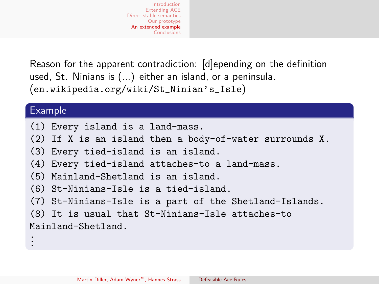Reason for the apparent contradiction: [d]epending on the definition used, St. Ninians is (...) either an island, or a peninsula. ([en.wikipedia.org/wiki/St\\_Ninian's\\_Isle](en.wikipedia.org/wiki/St_Ninian))

#### Example

- (1) Every island is a land-mass.
- (2) If X is an island then a body-of-water surrounds X.
- (3) Every tied-island is an island.
- (4) Every tied-island attaches-to a land-mass.
- (5) Mainland-Shetland is an island.
- (6) St-Ninians-Isle is a tied-island.
- (7) St-Ninians-Isle is a part of the Shetland-Islands.
- (8) It is usual that St-Ninians-Isle attaches-to Mainland-Shetland. . . .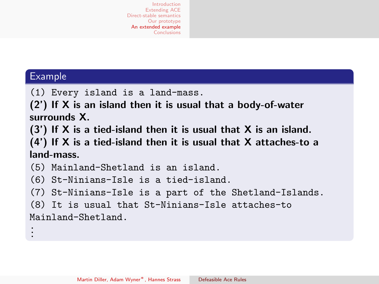#### Example

(1) Every island is a land-mass.

(2') If X is an island then it is usual that a body-of-water surrounds X.

(3') If X is a tied-island then it is usual that X is an island.

(4') If X is a tied-island then it is usual that X attaches-to a land-mass.

(5) Mainland-Shetland is an island.

(6) St-Ninians-Isle is a tied-island.

(7) St-Ninians-Isle is a part of the Shetland-Islands.

```
(8) It is usual that St-Ninians-Isle attaches-to
Mainland-Shetland.
.
.
.
```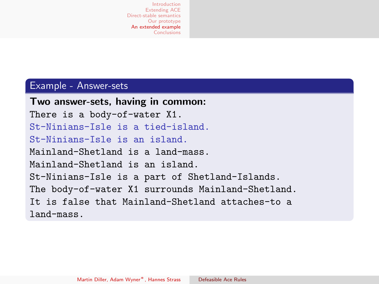#### Example - Answer-sets

Two answer-sets, having in common: There is a body-of-water X1. St-Ninians-Isle is a tied-island. St-Ninians-Isle is an island. Mainland-Shetland is a land-mass. Mainland-Shetland is an island. St-Ninians-Isle is a part of Shetland-Islands. The body-of-water X1 surrounds Mainland-Shetland. It is false that Mainland-Shetland attaches-to a land-mass.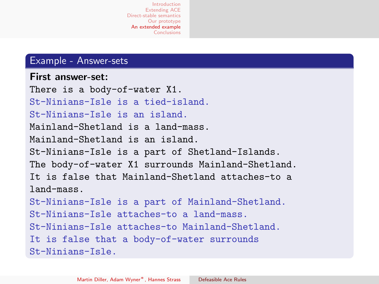#### Example - Answer-sets

#### First answer-set:

```
There is a body-of-water X1.
St-Ninians-Isle is a tied-island.
St-Ninians-Isle is an island.
Mainland-Shetland is a land-mass.
Mainland-Shetland is an island.
St-Ninians-Isle is a part of Shetland-Islands.
The body-of-water X1 surrounds Mainland-Shetland.
It is false that Mainland-Shetland attaches-to a
land-mass.
St-Ninians-Isle is a part of Mainland-Shetland.
St-Ninians-Isle attaches-to a land-mass.
St-Ninians-Isle attaches-to Mainland-Shetland.
It is false that a body-of-water surrounds
St-Ninians-Isle.
```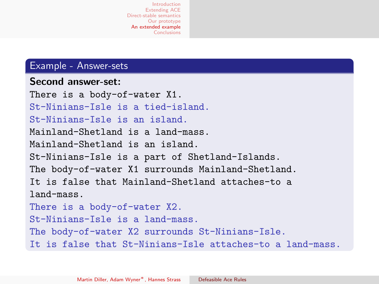#### Example - Answer-sets

```
Second answer-set:
There is a body-of-water X1.
St-Ninians-Isle is a tied-island.
St-Ninians-Isle is an island.
Mainland-Shetland is a land-mass.
Mainland-Shetland is an island.
St-Ninians-Isle is a part of Shetland-Islands.
The body-of-water X1 surrounds Mainland-Shetland.
It is false that Mainland-Shetland attaches-to a
land-mass.
There is a body-of-water X2.
St-Ninians-Isle is a land-mass.
The body-of-water X2 surrounds St-Ninians-Isle.
It is false that St-Ninians-Isle attaches-to a land-mass.
```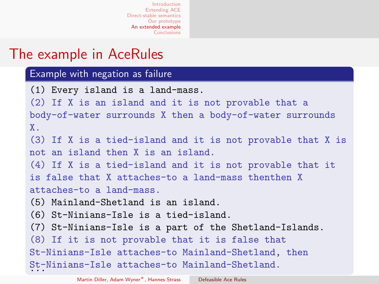### The example in AceRules

#### Example with negation as failure

(1) Every island is a land-mass. (2) If X is an island and it is not provable that a body-of-water surrounds X then a body-of-water surrounds X. (3) If X is a tied-island and it is not provable that X is not an island then X is an island. (4) If X is a tied-island and it is not provable that it is false that X attaches-to a land-mass thenthen X attaches-to a land-mass. (5) Mainland-Shetland is an island. (6) St-Ninians-Isle is a tied-island. (7) St-Ninians-Isle is a part of the Shetland-Islands. (8) If it is not provable that it is false that St-Ninians-Isle attaches-to Mainland-Shetland, then St-Ninians-Isle attaches-to Mainland-Shetland.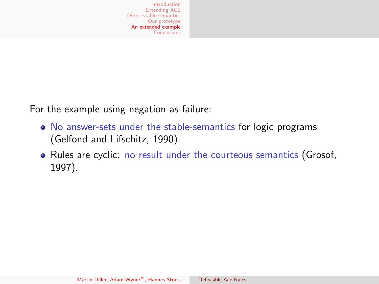For the example using negation-as-failure:

- No answer-sets under the stable-semantics for logic programs (Gelfond and Lifschitz, 1990).
- Rules are cyclic: no result under the courteous semantics (Grosof, 1997).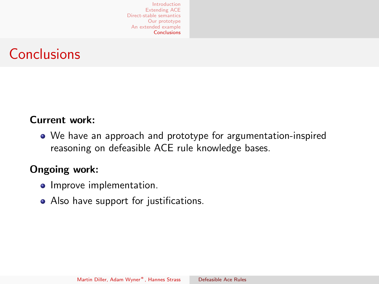### <span id="page-44-0"></span>**Conclusions**

### Current work:

We have an approach and prototype for argumentation-inspired reasoning on defeasible ACE rule knowledge bases.

### Ongoing work:

- Improve implementation.
- Also have support for justifications.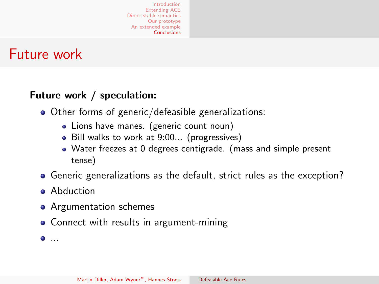### Future work

### Future work / speculation:

- Other forms of generic/defeasible generalizations:
	- Lions have manes. (generic count noun)
	- Bill walks to work at 9:00... (progressives)
	- Water freezes at 0 degrees centigrade. (mass and simple present tense)
- Generic generalizations as the default, strict rules as the exception?
- **Abduction**
- Argumentation schemes
- Connect with results in argument-mining

 $\bullet$ ....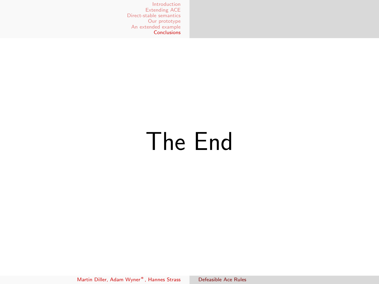# The End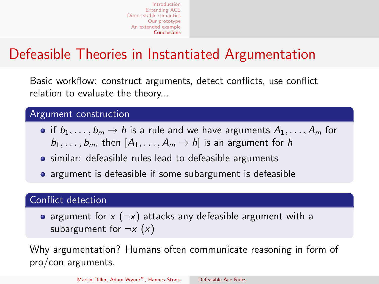### Defeasible Theories in Instantiated Argumentation

Basic workflow: construct arguments, detect conflicts, use conflict relation to evaluate the theory...

### Argument construction

- if  $b_1, \ldots, b_m \rightarrow h$  is a rule and we have arguments  $A_1, \ldots, A_m$  for  $b_1, \ldots, b_m$ , then  $[A_1, \ldots, A_m \rightarrow h]$  is an argument for h
- **•** similar: defeasible rules lead to defeasible arguments
- argument is defeasible if some subargument is defeasible

#### Conflict detection

• argument for  $x (\neg x)$  attacks any defeasible argument with a subargument for  $\neg x$   $(x)$ 

Why argumentation? Humans often communicate reasoning in form of pro/con arguments.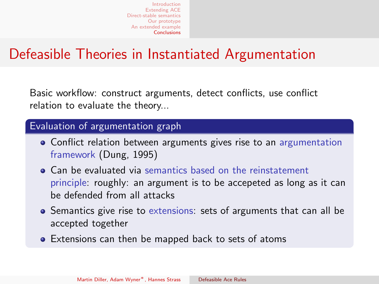### Defeasible Theories in Instantiated Argumentation

Basic workflow: construct arguments, detect conflicts, use conflict relation to evaluate the theory...

#### Evaluation of argumentation graph

- Conflict relation between arguments gives rise to an argumentation framework (Dung, 1995)
- Can be evaluated via semantics based on the reinstatement principle: roughly: an argument is to be accepeted as long as it can be defended from all attacks
- Semantics give rise to extensions: sets of arguments that can all be accepted together
- Extensions can then be mapped back to sets of atoms